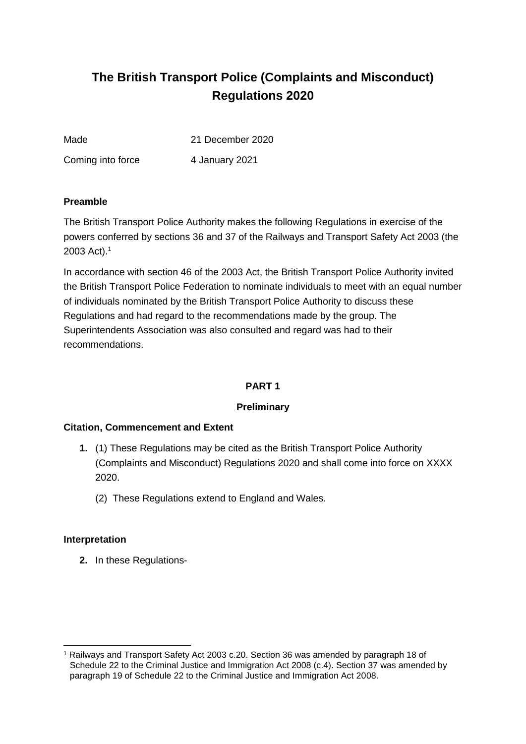# **The British Transport Police (Complaints and Misconduct) Regulations 2020**

Made 21 December 2020

Coming into force 4 January 2021

#### **Preamble**

The British Transport Police Authority makes the following Regulations in exercise of the powers conferred by sections 36 and 37 of the Railways and Transport Safety Act 2003 (the 2003 Act).<sup>1</sup>

In accordance with section 46 of the 2003 Act, the British Transport Police Authority invited the British Transport Police Federation to nominate individuals to meet with an equal number of individuals nominated by the British Transport Police Authority to discuss these Regulations and had regard to the recommendations made by the group. The Superintendents Association was also consulted and regard was had to their recommendations.

# **PART 1**

# **Preliminary**

# **Citation, Commencement and Extent**

- **1.** (1) These Regulations may be cited as the British Transport Police Authority (Complaints and Misconduct) Regulations 2020 and shall come into force on XXXX 2020.
	- (2) These Regulations extend to England and Wales.

#### **Interpretation**

**2.** In these Regulations-

<sup>-</sup><sup>1</sup> Railways and Transport Safety Act 2003 c.20. Section 36 was amended by paragraph 18 of Schedule 22 to the Criminal Justice and Immigration Act 2008 (c.4). Section 37 was amended by paragraph 19 of Schedule 22 to the Criminal Justice and Immigration Act 2008.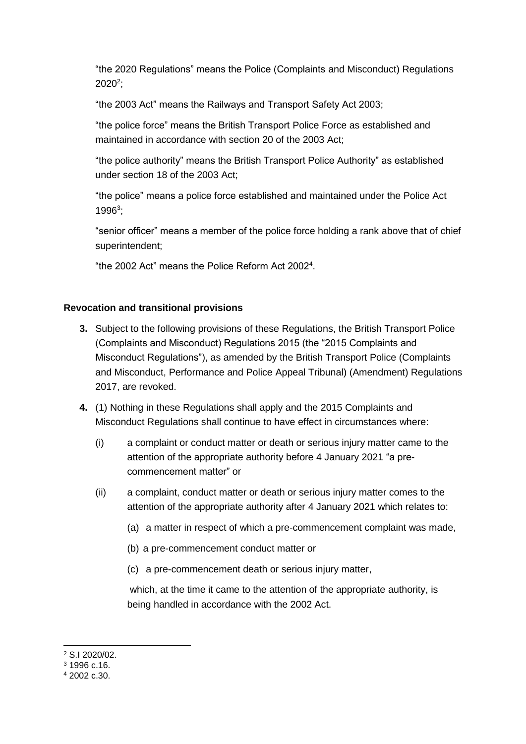"the 2020 Regulations" means the Police (Complaints and Misconduct) Regulations  $2020^2;$ 

"the 2003 Act" means the Railways and Transport Safety Act 2003;

"the police force" means the British Transport Police Force as established and maintained in accordance with section 20 of the 2003 Act;

"the police authority" means the British Transport Police Authority" as established under section 18 of the 2003 Act;

"the police" means a police force established and maintained under the Police Act 1996<sup>3</sup> ;

"senior officer" means a member of the police force holding a rank above that of chief superintendent;

"the 2002 Act" means the Police Reform Act 2002<sup>4</sup> .

#### **Revocation and transitional provisions**

- **3.** Subject to the following provisions of these Regulations, the British Transport Police (Complaints and Misconduct) Regulations 2015 (the "2015 Complaints and Misconduct Regulations"), as amended by the British Transport Police (Complaints and Misconduct, Performance and Police Appeal Tribunal) (Amendment) Regulations 2017, are revoked.
- **4.** (1) Nothing in these Regulations shall apply and the 2015 Complaints and Misconduct Regulations shall continue to have effect in circumstances where:
	- (i) a complaint or conduct matter or death or serious injury matter came to the attention of the appropriate authority before 4 January 2021 "a precommencement matter" or
	- (ii) a complaint, conduct matter or death or serious injury matter comes to the attention of the appropriate authority after 4 January 2021 which relates to:
		- (a) a matter in respect of which a pre-commencement complaint was made,
		- (b) a pre-commencement conduct matter or
		- (c) a pre-commencement death or serious injury matter,

which, at the time it came to the attention of the appropriate authority, is being handled in accordance with the 2002 Act.

<sup>-</sup><sup>2</sup> S.I 2020/02.

<sup>3</sup> 1996 c.16.

<sup>4</sup> 2002 c.30.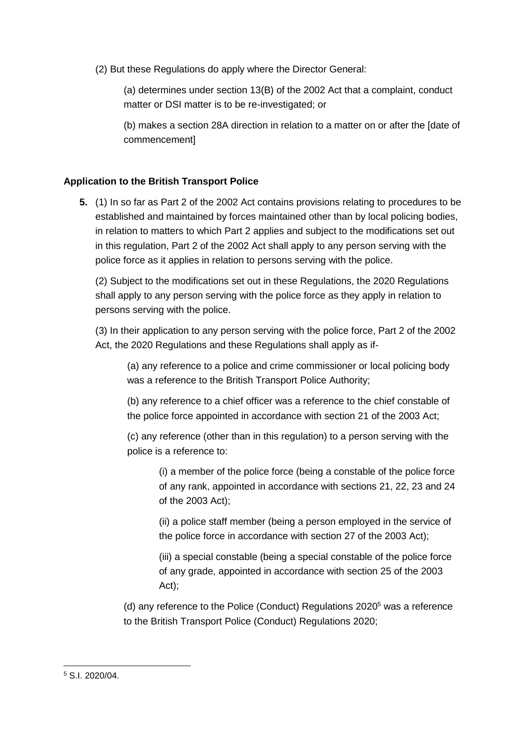(2) But these Regulations do apply where the Director General:

(a) determines under section 13(B) of the 2002 Act that a complaint, conduct matter or DSI matter is to be re-investigated; or

(b) makes a section 28A direction in relation to a matter on or after the [date of commencement]

# **Application to the British Transport Police**

**5.** (1) In so far as Part 2 of the 2002 Act contains provisions relating to procedures to be established and maintained by forces maintained other than by local policing bodies, in relation to matters to which Part 2 applies and subject to the modifications set out in this regulation, Part 2 of the 2002 Act shall apply to any person serving with the police force as it applies in relation to persons serving with the police.

(2) Subject to the modifications set out in these Regulations, the 2020 Regulations shall apply to any person serving with the police force as they apply in relation to persons serving with the police.

(3) In their application to any person serving with the police force, Part 2 of the 2002 Act, the 2020 Regulations and these Regulations shall apply as if-

(a) any reference to a police and crime commissioner or local policing body was a reference to the British Transport Police Authority;

(b) any reference to a chief officer was a reference to the chief constable of the police force appointed in accordance with section 21 of the 2003 Act;

(c) any reference (other than in this regulation) to a person serving with the police is a reference to:

(i) a member of the police force (being a constable of the police force of any rank, appointed in accordance with sections 21, 22, 23 and 24 of the 2003 Act);

(ii) a police staff member (being a person employed in the service of the police force in accordance with section 27 of the 2003 Act);

(iii) a special constable (being a special constable of the police force of any grade, appointed in accordance with section 25 of the 2003 Act);

(d) any reference to the Police (Conduct) Regulations 2020<sup>5</sup> was a reference to the British Transport Police (Conduct) Regulations 2020;

<sup>-</sup><sup>5</sup> S.I. 2020/04.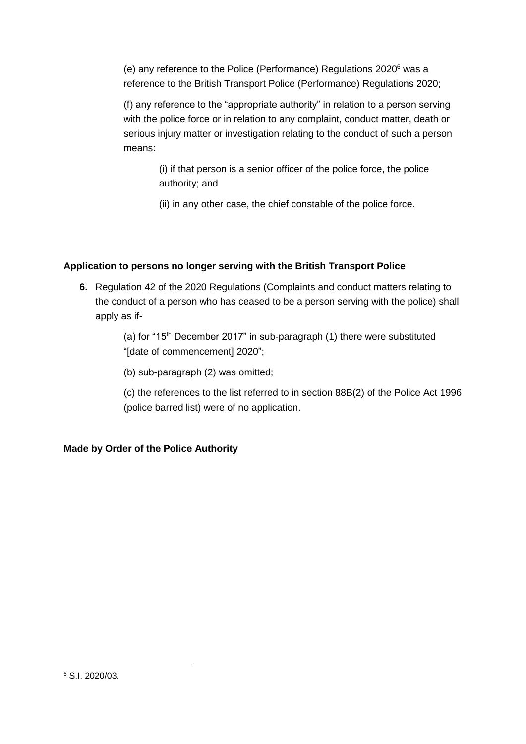(e) any reference to the Police (Performance) Regulations 2020<sup>6</sup> was a reference to the British Transport Police (Performance) Regulations 2020;

(f) any reference to the "appropriate authority" in relation to a person serving with the police force or in relation to any complaint, conduct matter, death or serious injury matter or investigation relating to the conduct of such a person means:

> (i) if that person is a senior officer of the police force, the police authority; and

(ii) in any other case, the chief constable of the police force.

# **Application to persons no longer serving with the British Transport Police**

**6.** Regulation 42 of the 2020 Regulations (Complaints and conduct matters relating to the conduct of a person who has ceased to be a person serving with the police) shall apply as if-

> (a) for " $15<sup>th</sup>$  December 2017" in sub-paragraph (1) there were substituted "[date of commencement] 2020";

(b) sub-paragraph (2) was omitted;

(c) the references to the list referred to in section 88B(2) of the Police Act 1996 (police barred list) were of no application.

# **Made by Order of the Police Authority**

-